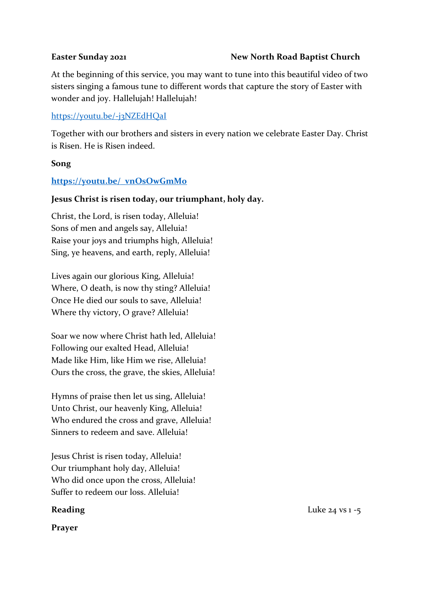# **Easter Sunday 2021 New North Road Baptist Church**

At the beginning of this service, you may want to tune into this beautiful video of two sisters singing a famous tune to different words that capture the story of Easter with wonder and joy. Hallelujah! Hallelujah!

## <https://youtu.be/-j3NZEdHQaI>

Together with our brothers and sisters in every nation we celebrate Easter Day. Christ is Risen. He is Risen indeed.

### **Song**

# **[https://youtu.be/\\_vnOsOwGmM0](https://youtu.be/_vnOsOwGmM0)**

## **Jesus Christ is risen today, our triumphant, holy day.**

Christ, the Lord, is risen today, Alleluia! Sons of men and angels say, Alleluia! Raise your joys and triumphs high, Alleluia! Sing, ye heavens, and earth, reply, Alleluia!

Lives again our glorious King, Alleluia! Where, O death, is now thy sting? Alleluia! Once He died our souls to save, Alleluia! Where thy victory, O grave? Alleluia!

Soar we now where Christ hath led, Alleluia! Following our exalted Head, Alleluia! Made like Him, like Him we rise, Alleluia! Ours the cross, the grave, the skies, Alleluia!

Hymns of praise then let us sing, Alleluia! Unto Christ, our heavenly King, Alleluia! Who endured the cross and grave, Alleluia! Sinners to redeem and save. Alleluia!

Jesus Christ is risen today, Alleluia! Our triumphant holy day, Alleluia! Who did once upon the cross, Alleluia! Suffer to redeem our loss. Alleluia!

**Prayer** 

**Reading** Luke 24 vs 1 -5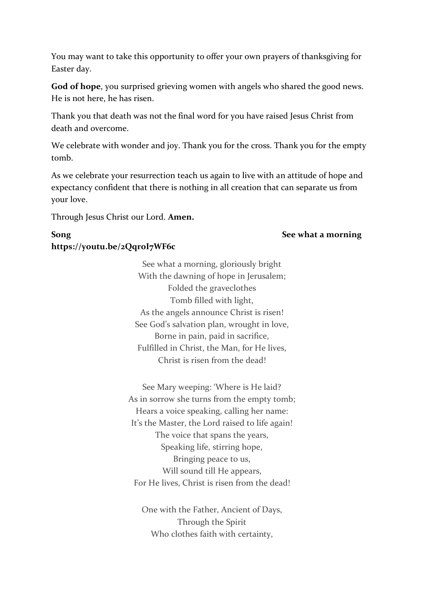You may want to take this opportunity to offer your own prayers of thanksgiving for Easter day.

**God of hope**, you surprised grieving women with angels who shared the good news. He is not here, he has risen.

Thank you that death was not the final word for you have raised Jesus Christ from death and overcome.

We celebrate with wonder and joy. Thank you for the cross. Thank you for the empty tomb.

As we celebrate your resurrection teach us again to live with an attitude of hope and expectancy confident that there is nothing in all creation that can separate us from your love.

Through Jesus Christ our Lord. **Amen.**

# **Song** See what a morning **https://youtu.be/2QqroI7WF6c**

See what a morning, gloriously bright With the dawning of hope in Jerusalem; Folded the graveclothes Tomb filled with light, As the angels announce Christ is risen! See God's salvation plan, wrought in love, Borne in pain, paid in sacrifice, Fulfilled in Christ, the Man, for He lives, Christ is risen from the dead!

See Mary weeping: 'Where is He laid? As in sorrow she turns from the empty tomb; Hears a voice speaking, calling her name: It's the Master, the Lord raised to life again! The voice that spans the years, Speaking life, stirring hope, Bringing peace to us, Will sound till He appears, For He lives, Christ is risen from the dead!

One with the Father, Ancient of Days, Through the Spirit Who clothes faith with certainty,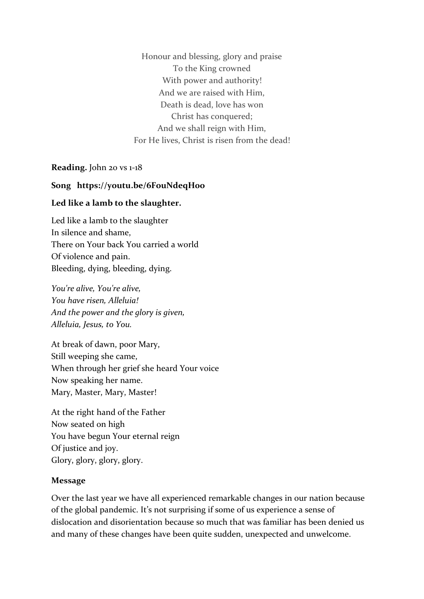Honour and blessing, glory and praise To the King crowned With power and authority! And we are raised with Him, Death is dead, love has won Christ has conquered; And we shall reign with Him, For He lives, Christ is risen from the dead!

# **Reading.** John 20 vs 1-18

# **Song https://youtu.be/6FouNdeqH0o**

# **Led like a lamb to the slaughter.**

Led like a lamb to the slaughter In silence and shame, There on Your back You carried a world Of violence and pain. Bleeding, dying, bleeding, dying.

*You're alive, You're alive, You have risen, Alleluia! And the power and the glory is given, Alleluia, Jesus, to You.*

At break of dawn, poor Mary, Still weeping she came, When through her grief she heard Your voice Now speaking her name. Mary, Master, Mary, Master!

At the right hand of the Father Now seated on high You have begun Your eternal reign Of justice and joy. Glory, glory, glory, glory.

### **Message**

Over the last year we have all experienced remarkable changes in our nation because of the global pandemic. It's not surprising if some of us experience a sense of dislocation and disorientation because so much that was familiar has been denied us and many of these changes have been quite sudden, unexpected and unwelcome.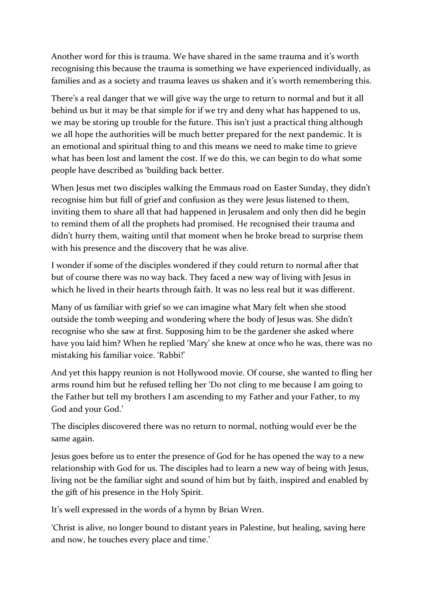Another word for this is trauma. We have shared in the same trauma and it's worth recognising this because the trauma is something we have experienced individually, as families and as a society and trauma leaves us shaken and it's worth remembering this.

There's a real danger that we will give way the urge to return to normal and but it all behind us but it may be that simple for if we try and deny what has happened to us, we may be storing up trouble for the future. This isn't just a practical thing although we all hope the authorities will be much better prepared for the next pandemic. It is an emotional and spiritual thing to and this means we need to make time to grieve what has been lost and lament the cost. If we do this, we can begin to do what some people have described as 'building back better.

When Jesus met two disciples walking the Emmaus road on Easter Sunday, they didn't recognise him but full of grief and confusion as they were Jesus listened to them, inviting them to share all that had happened in Jerusalem and only then did he begin to remind them of all the prophets had promised. He recognised their trauma and didn't hurry them, waiting until that moment when he broke bread to surprise them with his presence and the discovery that he was alive.

I wonder if some of the disciples wondered if they could return to normal after that but of course there was no way back. They faced a new way of living with Jesus in which he lived in their hearts through faith. It was no less real but it was different.

Many of us familiar with grief so we can imagine what Mary felt when she stood outside the tomb weeping and wondering where the body of Jesus was. She didn't recognise who she saw at first. Supposing him to be the gardener she asked where have you laid him? When he replied 'Mary' she knew at once who he was, there was no mistaking his familiar voice. 'Rabbi!'

And yet this happy reunion is not Hollywood movie. Of course, she wanted to fling her arms round him but he refused telling her 'Do not cling to me because I am going to the Father but tell my brothers I am ascending to my Father and your Father, to my God and your God.'

The disciples discovered there was no return to normal, nothing would ever be the same again.

Jesus goes before us to enter the presence of God for he has opened the way to a new relationship with God for us. The disciples had to learn a new way of being with Jesus, living not be the familiar sight and sound of him but by faith, inspired and enabled by the gift of his presence in the Holy Spirit.

It's well expressed in the words of a hymn by Brian Wren.

'Christ is alive, no longer bound to distant years in Palestine, but healing, saving here and now, he touches every place and time.'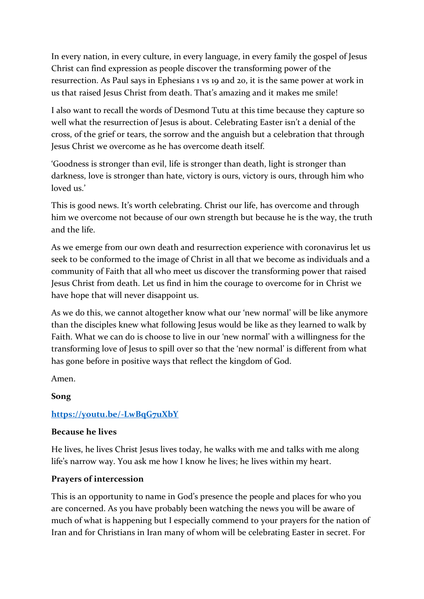In every nation, in every culture, in every language, in every family the gospel of Jesus Christ can find expression as people discover the transforming power of the resurrection. As Paul says in Ephesians 1 vs 19 and 20, it is the same power at work in us that raised Jesus Christ from death. That's amazing and it makes me smile!

I also want to recall the words of Desmond Tutu at this time because they capture so well what the resurrection of Jesus is about. Celebrating Easter isn't a denial of the cross, of the grief or tears, the sorrow and the anguish but a celebration that through Jesus Christ we overcome as he has overcome death itself.

'Goodness is stronger than evil, life is stronger than death, light is stronger than darkness, love is stronger than hate, victory is ours, victory is ours, through him who loved us'

This is good news. It's worth celebrating. Christ our life, has overcome and through him we overcome not because of our own strength but because he is the way, the truth and the life.

As we emerge from our own death and resurrection experience with coronavirus let us seek to be conformed to the image of Christ in all that we become as individuals and a community of Faith that all who meet us discover the transforming power that raised Jesus Christ from death. Let us find in him the courage to overcome for in Christ we have hope that will never disappoint us.

As we do this, we cannot altogether know what our 'new normal' will be like anymore than the disciples knew what following Jesus would be like as they learned to walk by Faith. What we can do is choose to live in our 'new normal' with a willingness for the transforming love of Jesus to spill over so that the 'new normal' is different from what has gone before in positive ways that reflect the kingdom of God.

Amen.

**Song**

# **<https://youtu.be/-LwBqG7uXbY>**

# **Because he lives**

He lives, he lives Christ Jesus lives today, he walks with me and talks with me along life's narrow way. You ask me how I know he lives; he lives within my heart.

# **Prayers of intercession**

This is an opportunity to name in God's presence the people and places for who you are concerned. As you have probably been watching the news you will be aware of much of what is happening but I especially commend to your prayers for the nation of Iran and for Christians in Iran many of whom will be celebrating Easter in secret. For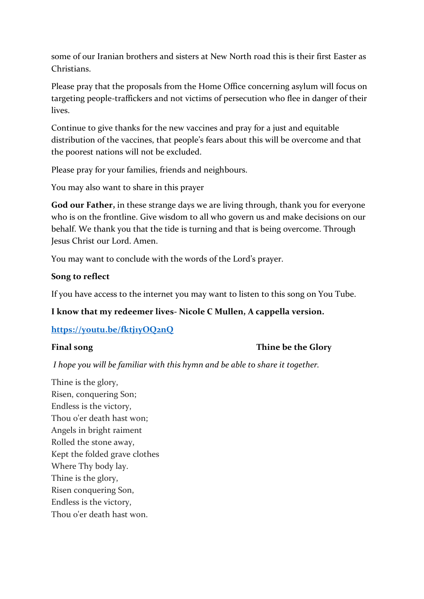some of our Iranian brothers and sisters at New North road this is their first Easter as Christians.

Please pray that the proposals from the Home Office concerning asylum will focus on targeting people-traffickers and not victims of persecution who flee in danger of their lives.

Continue to give thanks for the new vaccines and pray for a just and equitable distribution of the vaccines, that people's fears about this will be overcome and that the poorest nations will not be excluded.

Please pray for your families, friends and neighbours.

You may also want to share in this prayer

**God our Father,** in these strange days we are living through, thank you for everyone who is on the frontline. Give wisdom to all who govern us and make decisions on our behalf. We thank you that the tide is turning and that is being overcome. Through Jesus Christ our Lord. Amen.

You may want to conclude with the words of the Lord's prayer.

# **Song to reflect**

If you have access to the internet you may want to listen to this song on You Tube.

# **I know that my redeemer lives- Nicole C Mullen, A cappella version.**

# **<https://youtu.be/fktj1yOQ2nQ>**

# **Final song Thine be the Glory**

*I hope you will be familiar with this hymn and be able to share it together.* 

Thine is the glory, Risen, conquering Son; Endless is the victory, Thou o'er death hast won; Angels in bright raiment Rolled the stone away, Kept the folded grave clothes Where Thy body lay. Thine is the glory, Risen conquering Son, Endless is the victory, Thou o'er death hast won.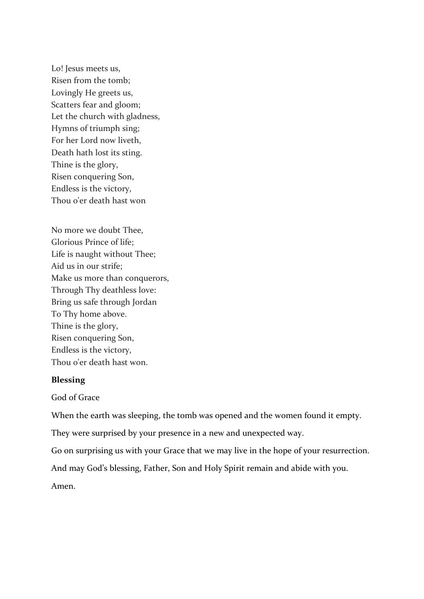Lo! Jesus meets us, Risen from the tomb; Lovingly He greets us, Scatters fear and gloom; Let the church with gladness, Hymns of triumph sing; For her Lord now liveth, Death hath lost its sting. Thine is the glory, Risen conquering Son, Endless is the victory, Thou o'er death hast won

No more we doubt Thee, Glorious Prince of life; Life is naught without Thee; Aid us in our strife; Make us more than conquerors, Through Thy deathless love: Bring us safe through Jordan To Thy home above. Thine is the glory, Risen conquering Son, Endless is the victory, Thou o'er death hast won.

### **Blessing**

### God of Grace

When the earth was sleeping, the tomb was opened and the women found it empty.

They were surprised by your presence in a new and unexpected way.

Go on surprising us with your Grace that we may live in the hope of your resurrection.

And may God's blessing, Father, Son and Holy Spirit remain and abide with you.

Amen.